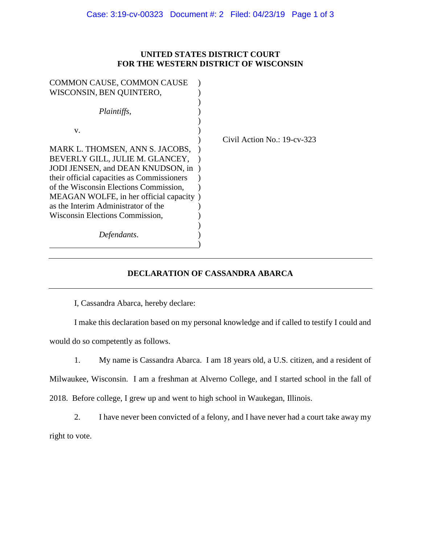## **UNITED STATES DISTRICT COURT FOR THE WESTERN DISTRICT OF WISCONSIN**

| <b>COMMON CAUSE, COMMON CAUSE</b>          |                             |
|--------------------------------------------|-----------------------------|
| WISCONSIN, BEN QUINTERO,                   |                             |
|                                            |                             |
| Plaintiffs,                                |                             |
|                                            |                             |
| V.                                         |                             |
|                                            | Civil Action No.: 19-cv-323 |
| MARK L. THOMSEN, ANN S. JACOBS,            |                             |
| BEVERLY GILL, JULIE M. GLANCEY,            |                             |
| JODI JENSEN, and DEAN KNUDSON, in          |                             |
| their official capacities as Commissioners |                             |
| of the Wisconsin Elections Commission,     |                             |
| MEAGAN WOLFE, in her official capacity)    |                             |
| as the Interim Administrator of the        |                             |
| Wisconsin Elections Commission,            |                             |
|                                            |                             |
| Defendants.                                |                             |
|                                            |                             |

## **DECLARATION OF CASSANDRA ABARCA**

I, Cassandra Abarca, hereby declare:

I make this declaration based on my personal knowledge and if called to testify I could and would do so competently as follows.

1. My name is Cassandra Abarca. I am 18 years old, a U.S. citizen, and a resident of Milwaukee, Wisconsin. I am a freshman at Alverno College, and I started school in the fall of

2018. Before college, I grew up and went to high school in Waukegan, Illinois.

2. I have never been convicted of a felony, and I have never had a court take away my right to vote.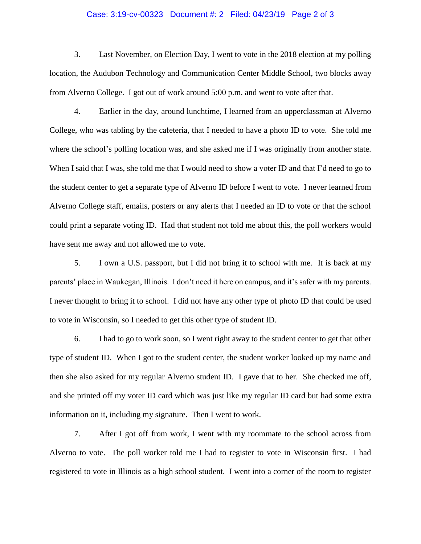## Case: 3:19-cv-00323 Document #: 2 Filed: 04/23/19 Page 2 of 3

3. Last November, on Election Day, I went to vote in the 2018 election at my polling location, the Audubon Technology and Communication Center Middle School, two blocks away from Alverno College. I got out of work around 5:00 p.m. and went to vote after that.

4. Earlier in the day, around lunchtime, I learned from an upperclassman at Alverno College, who was tabling by the cafeteria, that I needed to have a photo ID to vote. She told me where the school's polling location was, and she asked me if I was originally from another state. When I said that I was, she told me that I would need to show a voter ID and that I'd need to go to the student center to get a separate type of Alverno ID before I went to vote. I never learned from Alverno College staff, emails, posters or any alerts that I needed an ID to vote or that the school could print a separate voting ID. Had that student not told me about this, the poll workers would have sent me away and not allowed me to vote.

5. I own a U.S. passport, but I did not bring it to school with me. It is back at my parents' place in Waukegan, Illinois. I don't need it here on campus, and it's safer with my parents. I never thought to bring it to school. I did not have any other type of photo ID that could be used to vote in Wisconsin, so I needed to get this other type of student ID.

6. I had to go to work soon, so I went right away to the student center to get that other type of student ID. When I got to the student center, the student worker looked up my name and then she also asked for my regular Alverno student ID. I gave that to her. She checked me off, and she printed off my voter ID card which was just like my regular ID card but had some extra information on it, including my signature. Then I went to work.

7. After I got off from work, I went with my roommate to the school across from Alverno to vote. The poll worker told me I had to register to vote in Wisconsin first. I had registered to vote in Illinois as a high school student. I went into a corner of the room to register